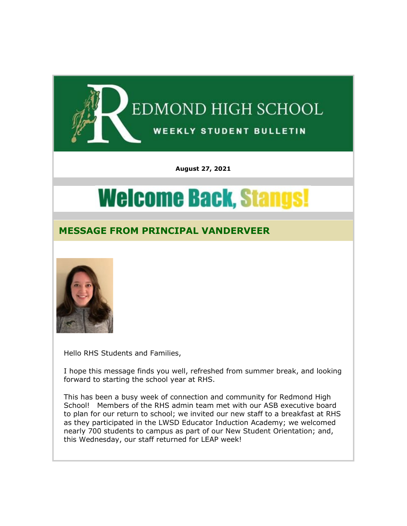

**August 27, 2021**

# **Welcome Back, Stangs!**

# **MESSAGE FROM PRINCIPAL VANDERVEER**



Hello RHS Students and Families,

I hope this message finds you well, refreshed from summer break, and looking forward to starting the school year at RHS.

This has been a busy week of connection and community for Redmond High School! Members of the RHS admin team met with our ASB executive board to plan for our return to school; we invited our new staff to a breakfast at RHS as they participated in the LWSD Educator Induction Academy; we welcomed nearly 700 students to campus as part of our New Student Orientation; and, this Wednesday, our staff returned for LEAP week!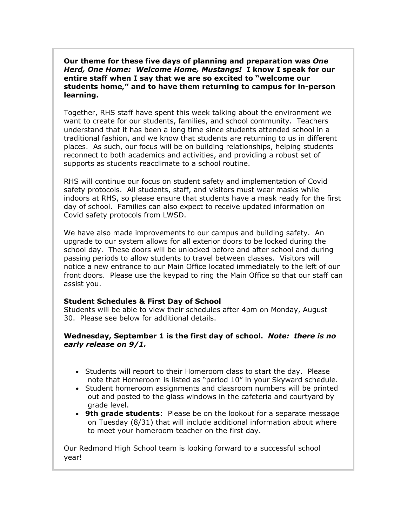**Our theme for these five days of planning and preparation was** *One Herd, One Home: Welcome Home, Mustangs!* **I know I speak for our entire staff when I say that we are so excited to "welcome our students home," and to have them returning to campus for in-person learning.**

Together, RHS staff have spent this week talking about the environment we want to create for our students, families, and school community. Teachers understand that it has been a long time since students attended school in a traditional fashion, and we know that students are returning to us in different places. As such, our focus will be on building relationships, helping students reconnect to both academics and activities, and providing a robust set of supports as students reacclimate to a school routine.

RHS will continue our focus on student safety and implementation of Covid safety protocols. All students, staff, and visitors must wear masks while indoors at RHS, so please ensure that students have a mask ready for the first day of school. Families can also expect to receive updated information on Covid safety protocols from LWSD.

We have also made improvements to our campus and building safety. An upgrade to our system allows for all exterior doors to be locked during the school day. These doors will be unlocked before and after school and during passing periods to allow students to travel between classes. Visitors will notice a new entrance to our Main Office located immediately to the left of our front doors. Please use the keypad to ring the Main Office so that our staff can assist you.

#### **Student Schedules & First Day of School**

Students will be able to view their schedules after 4pm on Monday, August 30. Please see below for additional details.

#### **Wednesday, September 1 is the first day of school.** *Note: there is no early release on 9/1.*

- Students will report to their Homeroom class to start the day. Please note that Homeroom is listed as "period 10" in your Skyward schedule.
- Student homeroom assignments and classroom numbers will be printed out and posted to the glass windows in the cafeteria and courtyard by grade level.
- **9th grade students**: Please be on the lookout for a separate message on Tuesday (8/31) that will include additional information about where to meet your homeroom teacher on the first day.

Our Redmond High School team is looking forward to a successful school year!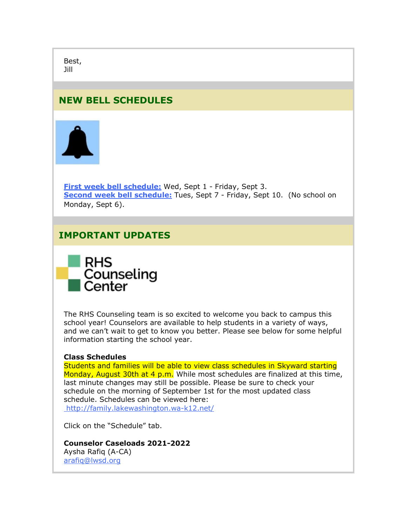Best, Jill

## **NEW BELL SCHEDULES**



**[First week bell schedule:](https://nam02.safelinks.protection.outlook.com/?url=http%3A%2F%2Flink.email.dynect.net%2Flink.php%3FDynEngagement%3Dtrue%26H%3DgAbOqugG6RJ%252BllKwZHsanCcKLgr793zCl2P7lflJIY27Z%252Bv7upf1D1y0%252B6W%252F6VrV63E0FWqeZ6n%252BViRpozlXD0KY0EtuCgAvNvYJwnyLA6011EKWy9Od5g%253D%253D%26G%3D0%26R%3Dhttps%253A%252F%252FHUQBGYZTANA.hatchbuck.com%252FTrackLinkClick%253FID2%253D3qfn7yaU8db2FLuSXJshvLlm2cZsz-HZmmpfGBVVHo3B_KGSnc4NohzH0it_WoTp0%26I%3D20210827205913.00000014cb6b%2540mail6-35-ussnn1%26X%3DMHwxMjY0OTIyOjIxNjE1NzY0ODk7MXwxMjY0OTIzOjE3MjU0MTA4Mjs%253D%26V%3D3%26S%3DDlti37zatDxPwpvjXmJ5RttKOq2HpufnAW5hiAB-INE&data=04%7C01%7Cmwood%40lwsd.org%7Cc1b2608d19014d909ada08d96be50641%7C1fd4673fdf9646218638a1d88c4c85d7%7C0%7C0%7C637659453659050531%7CUnknown%7CTWFpbGZsb3d8eyJWIjoiMC4wLjAwMDAiLCJQIjoiV2luMzIiLCJBTiI6Ik1haWwiLCJXVCI6Mn0%3D%7C1000&sdata=0y3kC%2BOc91b1gCbHthzpLB9hdWTZ8WoApDVapxyV3XE%3D&reserved=0)** Wed, Sept 1 - Friday, Sept 3. **[Second week bell schedule:](https://nam02.safelinks.protection.outlook.com/?url=http%3A%2F%2Flink.email.dynect.net%2Flink.php%3FDynEngagement%3Dtrue%26H%3DgAbOqugG6RJ%252BllKwZHsanCcKLgr793zCl2P7lflJIY27Z%252Bv7upf1D1y0%252B6W%252F6VrV63E0FWqeZ6n%252BViRpozlXD0KY0EtuCgAvNvYJwnyLA6011EKWy9Od5g%253D%253D%26G%3D0%26R%3Dhttps%253A%252F%252FHUQBGYZTANA.hatchbuck.com%252FTrackLinkClick%253FID2%253DGBQXqB_W6_OU5W5QMuTLEWu_3SRH27jEjnCFXQjOaiy6urjF8yBXuLkcN7_rC9CF0%26I%3D20210827205913.00000014cb6b%2540mail6-35-ussnn1%26X%3DMHwxMjY0OTIyOjIxNjE1NzY0ODk7MXwxMjY0OTIzOjE3MjU0MTA4Mjs%253D%26V%3D3%26S%3DjL43leUewrZWWaLA8IWKMRk5FDF7yaboJB_nglonmqo&data=04%7C01%7Cmwood%40lwsd.org%7Cc1b2608d19014d909ada08d96be50641%7C1fd4673fdf9646218638a1d88c4c85d7%7C0%7C0%7C637659453659060527%7CUnknown%7CTWFpbGZsb3d8eyJWIjoiMC4wLjAwMDAiLCJQIjoiV2luMzIiLCJBTiI6Ik1haWwiLCJXVCI6Mn0%3D%7C1000&sdata=urXKXf%2B2xR3m7j5j7%2BWIoeSj%2FFhKxnq%2Byq3F%2FF8Nkg8%3D&reserved=0)** Tues, Sept 7 - Friday, Sept 10. (No school on Monday, Sept 6).

## **IMPORTANT UPDATES**



The RHS Counseling team is so excited to welcome you back to campus this school year! Counselors are available to help students in a variety of ways, and we can't wait to get to know you better. Please see below for some helpful information starting the school year.

#### **Class Schedules**

Students and families will be able to view class schedules in Skyward starting Monday, August 30th at 4 p.m. While most schedules are finalized at this time, last minute changes may still be possible. Please be sure to check your schedule on the morning of September 1st for the most updated class schedule. Schedules can be viewed here: [http://family.lakewashington.wa-k12.net/](https://nam02.safelinks.protection.outlook.com/?url=http%3A%2F%2Flink.email.dynect.net%2Flink.php%3FDynEngagement%3Dtrue%26H%3DgAbOqugG6RJ%252BllKwZHsanCcKLgr793zCl2P7lflJIY27Z%252Bv7upf1D1y0%252B6W%252F6VrV63E0FWqeZ6n%252BViRpozlXD0KY0EtuCgAvNvYJwnyLA6011EKWy9Od5g%253D%253D%26G%3D0%26R%3Dhttps%253A%252F%252FHUQBGYZTANA.hatchbuck.com%252FTrackLinkClick%253FID2%253Dpxlk_TBC09azW8_5uALCcDjhyAXG93zChiZeEThiz0BQdMZIlMmdzUXFffFON0wS0%26I%3D20210827205913.00000014cb6b%2540mail6-35-ussnn1%26X%3DMHwxMjY0OTIyOjIxNjE1NzY0ODk7MXwxMjY0OTIzOjE3MjU0MTA4Mjs%253D%26V%3D3%26S%3DDt49DvKFiqVpOcxqHKndezPsXOXjdou0vnX3Hynl5ZI&data=04%7C01%7Cmwood%40lwsd.org%7Cc1b2608d19014d909ada08d96be50641%7C1fd4673fdf9646218638a1d88c4c85d7%7C0%7C0%7C637659453659060527%7CUnknown%7CTWFpbGZsb3d8eyJWIjoiMC4wLjAwMDAiLCJQIjoiV2luMzIiLCJBTiI6Ik1haWwiLCJXVCI6Mn0%3D%7C1000&sdata=ADzpRjUbehj%2FZ2HSH7ETej%2BZAWhJuYbR4kDYr6ltwSI%3D&reserved=0) 

Click on the "Schedule" tab.

**Counselor Caseloads 2021-2022** Aysha Rafiq (A-CA) [arafiq@lwsd.org](mailto:arafiq@lwsd.org)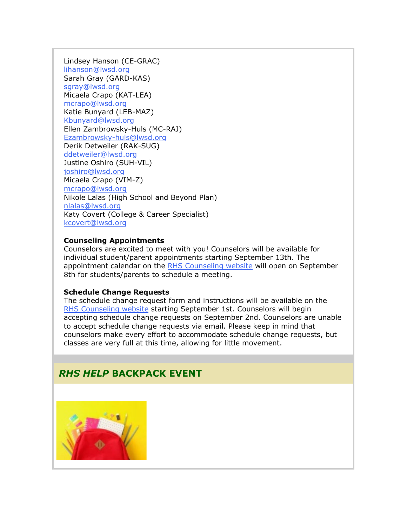Lindsey Hanson (CE-GRAC) [lihanson@lwsd.org](mailto:lihanson@lwsd.org) Sarah Gray (GARD-KAS) [sgray@lwsd.org](mailto:sgray@lwsd.org) Micaela Crapo (KAT-LEA) [mcrapo@lwsd.org](mailto:mcrapo@lwsd.org) Katie Bunyard (LEB-MAZ) [Kbunyard@lwsd.org](mailto:Kbunyard@lwsd.org) Ellen Zambrowsky-Huls (MC-RAJ) [Ezambrowsky-huls@lwsd.org](mailto:Ezambrowsky-huls@lwsd.org) Derik Detweiler (RAK-SUG) [ddetweiler@lwsd.org](mailto:ddetweiler@lwsd.org) Justine Oshiro (SUH-VIL) [joshiro@lwsd.org](mailto:joshiro@lwsd.org) Micaela Crapo (VIM-Z) [mcrapo@lwsd.org](mailto:mcrapo@lwsd.org) Nikole Lalas (High School and Beyond Plan) [nlalas@lwsd.org](mailto:nlalas@lwsd.org) Katy Covert (College & Career Specialist) [kcovert@lwsd.org](mailto:kcovert@lwsd.org)

#### **Counseling Appointments**

Counselors are excited to meet with you! Counselors will be available for individual student/parent appointments starting September 13th. The appointment calendar on the [RHS Counseling website](https://nam02.safelinks.protection.outlook.com/?url=http%3A%2F%2Flink.email.dynect.net%2Flink.php%3FDynEngagement%3Dtrue%26H%3DgAbOqugG6RJ%252BllKwZHsanCcKLgr793zCl2P7lflJIY27Z%252Bv7upf1D1y0%252B6W%252F6VrV63E0FWqeZ6n%252BViRpozlXD0KY0EtuCgAvNvYJwnyLA6011EKWy9Od5g%253D%253D%26G%3D0%26R%3Dhttps%253A%252F%252FHUQBGYZTANA.hatchbuck.com%252FTrackLinkClick%253FID2%253DoaM60_i4_4DbfAPJz4Pl5Dpik_6cdOtKSEWLz0dJWFw56GK8L6m2lKsBnkiCOYRG0%26I%3D20210827205913.00000014cb6b%2540mail6-35-ussnn1%26X%3DMHwxMjY0OTIyOjIxNjE1NzY0ODk7MXwxMjY0OTIzOjE3MjU0MTA4Mjs%253D%26V%3D3%26S%3DDXdOB7LawOW8H3Uc2SUVFeWnXDsQuJRBJ3EcsNIW828&data=04%7C01%7Cmwood%40lwsd.org%7Cc1b2608d19014d909ada08d96be50641%7C1fd4673fdf9646218638a1d88c4c85d7%7C0%7C0%7C637659453659070520%7CUnknown%7CTWFpbGZsb3d8eyJWIjoiMC4wLjAwMDAiLCJQIjoiV2luMzIiLCJBTiI6Ik1haWwiLCJXVCI6Mn0%3D%7C1000&sdata=5Wf%2BO0pSaYRfzQOFnDyylSBOxy19fuKM4eI5qU9BdBk%3D&reserved=0) will open on September 8th for students/parents to schedule a meeting.

#### **Schedule Change Requests**

The schedule change request form and instructions will be available on the [RHS Counseling website](https://nam02.safelinks.protection.outlook.com/?url=http%3A%2F%2Flink.email.dynect.net%2Flink.php%3FDynEngagement%3Dtrue%26H%3DgAbOqugG6RJ%252BllKwZHsanCcKLgr793zCl2P7lflJIY27Z%252Bv7upf1D1y0%252B6W%252F6VrV63E0FWqeZ6n%252BViRpozlXD0KY0EtuCgAvNvYJwnyLA6011EKWy9Od5g%253D%253D%26G%3D0%26R%3Dhttps%253A%252F%252FHUQBGYZTANA.hatchbuck.com%252FTrackLinkClick%253FID2%253DoaM60_i4_4DbfAPJz4Pl5Dpik_6cdOtKSEWLz0dJWFw56GK8L6m2lKsBnkiCOYRG0%26I%3D20210827205913.00000014cb6b%2540mail6-35-ussnn1%26X%3DMHwxMjY0OTIyOjIxNjE1NzY0ODk7MXwxMjY0OTIzOjE3MjU0MTA4Mjs%253D%26V%3D3%26S%3DDXdOB7LawOW8H3Uc2SUVFeWnXDsQuJRBJ3EcsNIW828&data=04%7C01%7Cmwood%40lwsd.org%7Cc1b2608d19014d909ada08d96be50641%7C1fd4673fdf9646218638a1d88c4c85d7%7C0%7C0%7C637659453659070520%7CUnknown%7CTWFpbGZsb3d8eyJWIjoiMC4wLjAwMDAiLCJQIjoiV2luMzIiLCJBTiI6Ik1haWwiLCJXVCI6Mn0%3D%7C1000&sdata=5Wf%2BO0pSaYRfzQOFnDyylSBOxy19fuKM4eI5qU9BdBk%3D&reserved=0) starting September 1st. Counselors will begin accepting schedule change requests on September 2nd. Counselors are unable to accept schedule change requests via email. Please keep in mind that counselors make every effort to accommodate schedule change requests, but classes are very full at this time, allowing for little movement.

## *RHS HELP* **BACKPACK EVENT**

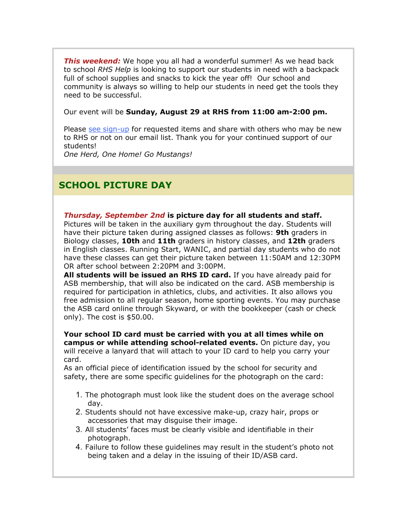*This weekend:* We hope you all had a wonderful summer! As we head back to school *RHS Help* is looking to support our students in need with a backpack full of school supplies and snacks to kick the year off! Our school and community is always so willing to help our students in need get the tools they need to be successful.

Our event will be **Sunday, August 29 at RHS from 11:00 am-2:00 pm.**

Please [see sign-up](https://nam02.safelinks.protection.outlook.com/?url=http%3A%2F%2Flink.email.dynect.net%2Flink.php%3FDynEngagement%3Dtrue%26H%3DgAbOqugG6RJ%252BllKwZHsanCcKLgr793zCl2P7lflJIY27Z%252Bv7upf1D1y0%252B6W%252F6VrV63E0FWqeZ6n%252BViRpozlXD0KY0EtuCgAvNvYJwnyLA6011EKWy9Od5g%253D%253D%26G%3D0%26R%3Dhttps%253A%252F%252FHUQBGYZTANA.hatchbuck.com%252FTrackLinkClick%253FID2%253D0AnQZFVxSfs5rT4UHIfFx_zLCuFB7r92ZfTBhUCzCibZwC7P_gJTn8sRFEVfCSsA0%26I%3D20210827205913.00000014cb6b%2540mail6-35-ussnn1%26X%3DMHwxMjY0OTIyOjIxNjE1NzY0ODk7MXwxMjY0OTIzOjE3MjU0MTA4Mjs%253D%26V%3D3%26S%3DJxtg7AP4Fn79ovsO0K3qcvknjN4rt-_UdTt7uXpVJtA&data=04%7C01%7Cmwood%40lwsd.org%7Cc1b2608d19014d909ada08d96be50641%7C1fd4673fdf9646218638a1d88c4c85d7%7C0%7C0%7C637659453659080516%7CUnknown%7CTWFpbGZsb3d8eyJWIjoiMC4wLjAwMDAiLCJQIjoiV2luMzIiLCJBTiI6Ik1haWwiLCJXVCI6Mn0%3D%7C1000&sdata=T8uAUm48NBpWEmeR090zYANBJA1zlM0Xv1dbfvdkfos%3D&reserved=0) for requested items and share with others who may be new to RHS or not on our email list. Thank you for your continued support of our students!

*One Herd, One Home! Go Mustangs!*

# **SCHOOL PICTURE DAY**

#### *Thursday, September 2nd* **is picture day for all students and staff.**

Pictures will be taken in the auxiliary gym throughout the day. Students will have their picture taken during assigned classes as follows: **9th** graders in Biology classes, **10th** and **11th** graders in history classes, and **12th** graders in English classes. Running Start, WANIC, and partial day students who do not have these classes can get their picture taken between 11:50AM and 12:30PM OR after school between 2:20PM and 3:00PM.

**All students will be issued an RHS ID card.** If you have already paid for ASB membership, that will also be indicated on the card. ASB membership is required for participation in athletics, clubs, and activities. It also allows you free admission to all regular season, home sporting events. You may purchase the ASB card online through Skyward, or with the bookkeeper (cash or check only). The cost is \$50.00.

**Your school ID card must be carried with you at all times while on campus or while attending school-related events.** On picture day, you will receive a lanyard that will attach to your ID card to help you carry your card.

As an official piece of identification issued by the school for security and safety, there are some specific guidelines for the photograph on the card:

- 1. The photograph must look like the student does on the average school day.
- 2. Students should not have excessive make-up, crazy hair, props or accessories that may disguise their image.
- 3. All students' faces must be clearly visible and identifiable in their photograph.
- 4. Failure to follow these guidelines may result in the student's photo not being taken and a delay in the issuing of their ID/ASB card.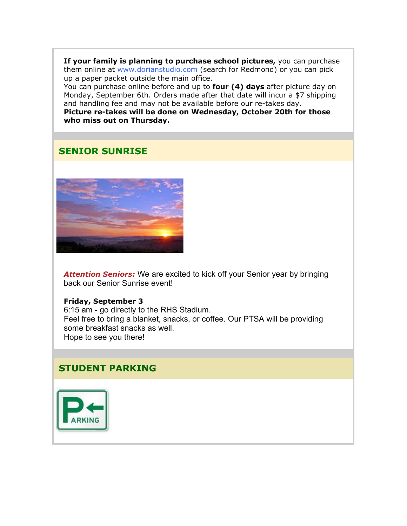**If your family is planning to purchase school pictures,** you can purchase them online at [www.dorianstudio.com](https://nam02.safelinks.protection.outlook.com/?url=http%3A%2F%2Flink.email.dynect.net%2Flink.php%3FDynEngagement%3Dtrue%26H%3DgAbOqugG6RJ%252BllKwZHsanCcKLgr793zCl2P7lflJIY27Z%252Bv7upf1D1y0%252B6W%252F6VrV63E0FWqeZ6n%252BViRpozlXD0KY0EtuCgAvNvYJwnyLA6011EKWy9Od5g%253D%253D%26G%3D0%26R%3Dhttps%253A%252F%252FHUQBGYZTANA.hatchbuck.com%252FTrackLinkClick%253FID2%253DIDhMcKIdcJ0yj4a9S9DTBzHbV54NgxSBMM1oXKvbPgPfglHDNBC5TK75KBVl9KOr0%26I%3D20210827205913.00000014cb6b%2540mail6-35-ussnn1%26X%3DMHwxMjY0OTIyOjIxNjE1NzY0ODk7MXwxMjY0OTIzOjE3MjU0MTA4Mjs%253D%26V%3D3%26S%3DjLzsB_ERs9ZCx7Zuv2okQ6D7SGh_byLVO8HNq2o-JEM&data=04%7C01%7Cmwood%40lwsd.org%7Cc1b2608d19014d909ada08d96be50641%7C1fd4673fdf9646218638a1d88c4c85d7%7C0%7C0%7C637659453659090517%7CUnknown%7CTWFpbGZsb3d8eyJWIjoiMC4wLjAwMDAiLCJQIjoiV2luMzIiLCJBTiI6Ik1haWwiLCJXVCI6Mn0%3D%7C1000&sdata=jZ1T1qxjydoiSjSXRFu7yZ8fCgGIdoamVPY4qILU5vk%3D&reserved=0) (search for Redmond) or you can pick up a paper packet outside the main office.

You can purchase online before and up to **four (4) days** after picture day on Monday, September 6th. Orders made after that date will incur a \$7 shipping and handling fee and may not be available before our re-takes day. **Picture re-takes will be done on Wednesday, October 20th for those** 

**who miss out on Thursday.**

# **SENIOR SUNRISE**



**Attention Seniors:** We are excited to kick off your Senior year by bringing back our Senior Sunrise event!

#### **Friday, September 3**

6:15 am - go directly to the RHS Stadium. Feel free to bring a blanket, snacks, or coffee. Our PTSA will be providing some breakfast snacks as well. Hope to see you there!

## **STUDENT PARKING**

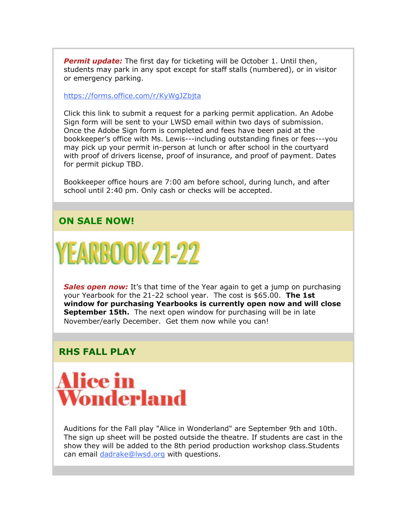*Permit update:* The first day for ticketing will be October 1. Until then, students may park in any spot except for staff stalls (numbered), or in visitor or emergency parking.

[https://forms.office.com/r/KyWgJZbjta](https://nam02.safelinks.protection.outlook.com/?url=http%3A%2F%2Flink.email.dynect.net%2Flink.php%3FDynEngagement%3Dtrue%26H%3DgAbOqugG6RJ%252BllKwZHsanCcKLgr793zCl2P7lflJIY27Z%252Bv7upf1D1y0%252B6W%252F6VrV63E0FWqeZ6n%252BViRpozlXD0KY0EtuCgAvNvYJwnyLA6011EKWy9Od5g%253D%253D%26G%3D0%26R%3Dhttps%253A%252F%252FHUQBGYZTANA.hatchbuck.com%252FTrackLinkClick%253FID2%253D5TM9Sko_KFgWPCVA6J9K8ZwSc33KAqH3UnTSca8QIOpLjcYv0-3RUNbXBmsW1X1m0%26I%3D20210827205913.00000014cb6b%2540mail6-35-ussnn1%26X%3DMHwxMjY0OTIyOjIxNjE1NzY0ODk7MXwxMjY0OTIzOjE3MjU0MTA4Mjs%253D%26V%3D3%26S%3DuEme0adyDNnih0l5o8FUgu8qEaJzYPkNUaeWoV6PGG8&data=04%7C01%7Cmwood%40lwsd.org%7Cc1b2608d19014d909ada08d96be50641%7C1fd4673fdf9646218638a1d88c4c85d7%7C0%7C0%7C637659453659090517%7CUnknown%7CTWFpbGZsb3d8eyJWIjoiMC4wLjAwMDAiLCJQIjoiV2luMzIiLCJBTiI6Ik1haWwiLCJXVCI6Mn0%3D%7C1000&sdata=SES0CGQNqMuWnc5alZDMA8t%2BWt6cuok68Waab39zcuU%3D&reserved=0)

Click this link to submit a request for a parking permit application. An Adobe Sign form will be sent to your LWSD email within two days of submission. Once the Adobe Sign form is completed and fees have been paid at the bookkeeper's office with Ms. Lewis---including outstanding fines or fees---you may pick up your permit in-person at lunch or after school in the courtyard with proof of drivers license, proof of insurance, and proof of payment. Dates for permit pickup TBD.

Bookkeeper office hours are 7:00 am before school, during lunch, and after school until 2:40 pm. Only cash or checks will be accepted.

### **ON SALE NOW!**

**YEARBOOK 21-22** 

*Sales open now:* It's that time of the Year again to get a jump on purchasing your Yearbook for the 21-22 school year. The cost is \$65.00. **The 1st window for purchasing Yearbooks is currently open now and will close September 15th.** The next open window for purchasing will be in late November/early December. Get them now while you can!

## **RHS FALL PLAY**



Auditions for the Fall play "Alice in Wonderland" are September 9th and 10th. The sign up sheet will be posted outside the theatre. If students are cast in the show they will be added to the 8th period production workshop class.Students can email [dadrake@lwsd.org](mailto:dadrake@lwsd.org) with questions.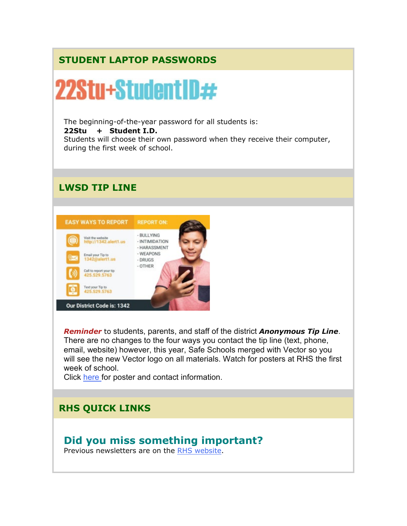# **STUDENT LAPTOP PASSWORDS**



*Reminder* to students, parents, and staff of the district *Anonymous Tip Line*. There are no changes to the four ways you contact the tip line (text, phone, email, website) however, this year, Safe Schools merged with Vector so you will see the new Vector logo on all materials. Watch for posters at RHS the first week of school.

Click [here f](https://nam02.safelinks.protection.outlook.com/?url=http%3A%2F%2Flink.email.dynect.net%2Flink.php%3FDynEngagement%3Dtrue%26H%3DgAbOqugG6RJ%252BllKwZHsanCcKLgr793zCl2P7lflJIY27Z%252Bv7upf1D1y0%252B6W%252F6VrV63E0FWqeZ6n%252BViRpozlXD0KY0EtuCgAvNvYJwnyLA6011EKWy9Od5g%253D%253D%26G%3D0%26R%3Dhttps%253A%252F%252FHUQBGYZTANA.hatchbuck.com%252FTrackLinkClick%253FID2%253DWwcyfxo-pB9Hl40Eu1mKUWiuH3nquz8JYG0ovE8TTx2R0h4O5IiXRZOgT4rzMaCb0%26I%3D20210827205913.00000014cb6b%2540mail6-35-ussnn1%26X%3DMHwxMjY0OTIyOjIxNjE1NzY0ODk7MXwxMjY0OTIzOjE3MjU0MTA4Mjs%253D%26V%3D3%26S%3DMTZF-hlSMVBcQG83otLgIHnu-QF0EDWT-cJObc7_np8&data=04%7C01%7Cmwood%40lwsd.org%7Cc1b2608d19014d909ada08d96be50641%7C1fd4673fdf9646218638a1d88c4c85d7%7C0%7C0%7C637659453659100503%7CUnknown%7CTWFpbGZsb3d8eyJWIjoiMC4wLjAwMDAiLCJQIjoiV2luMzIiLCJBTiI6Ik1haWwiLCJXVCI6Mn0%3D%7C1000&sdata=vK7aWzA%2FYT3YXlqbnZLFrCuKM8FQekAD7pk52wzZ6Xs%3D&reserved=0)or poster and contact information.

# **RHS QUICK LINKS**

# **Did you miss something important?**

Previous newsletters are on the [RHS website.](https://nam02.safelinks.protection.outlook.com/?url=http%3A%2F%2Flink.email.dynect.net%2Flink.php%3FDynEngagement%3Dtrue%26H%3DgAbOqugG6RJ%252BllKwZHsanCcKLgr793zCl2P7lflJIY27Z%252Bv7upf1D1y0%252B6W%252F6VrV63E0FWqeZ6n%252BViRpozlXD0KY0EtuCgAvNvYJwnyLA6011EKWy9Od5g%253D%253D%26G%3D0%26R%3Dhttps%253A%252F%252FHUQBGYZTANA.hatchbuck.com%252FTrackLinkClick%253FID2%253D1DXWhyIJ_NRsWSnHuCwIvO8QHq4Cdb9Vu9VoP2c1YFyYu3xCegO_AN7wFXc5UxCZ0%26I%3D20210827205913.00000014cb6b%2540mail6-35-ussnn1%26X%3DMHwxMjY0OTIyOjIxNjE1NzY0ODk7MXwxMjY0OTIzOjE3MjU0MTA4Mjs%253D%26V%3D3%26S%3DSA2jixNG0fUCWKRc5q3nERiqrw0kfa9bMDB5-olHNgY&data=04%7C01%7Cmwood%40lwsd.org%7Cc1b2608d19014d909ada08d96be50641%7C1fd4673fdf9646218638a1d88c4c85d7%7C0%7C0%7C637659453659100503%7CUnknown%7CTWFpbGZsb3d8eyJWIjoiMC4wLjAwMDAiLCJQIjoiV2luMzIiLCJBTiI6Ik1haWwiLCJXVCI6Mn0%3D%7C1000&sdata=lb%2FetQaH3CtghBA8u0vovplLYurT2PRPodW54YR8sv4%3D&reserved=0)